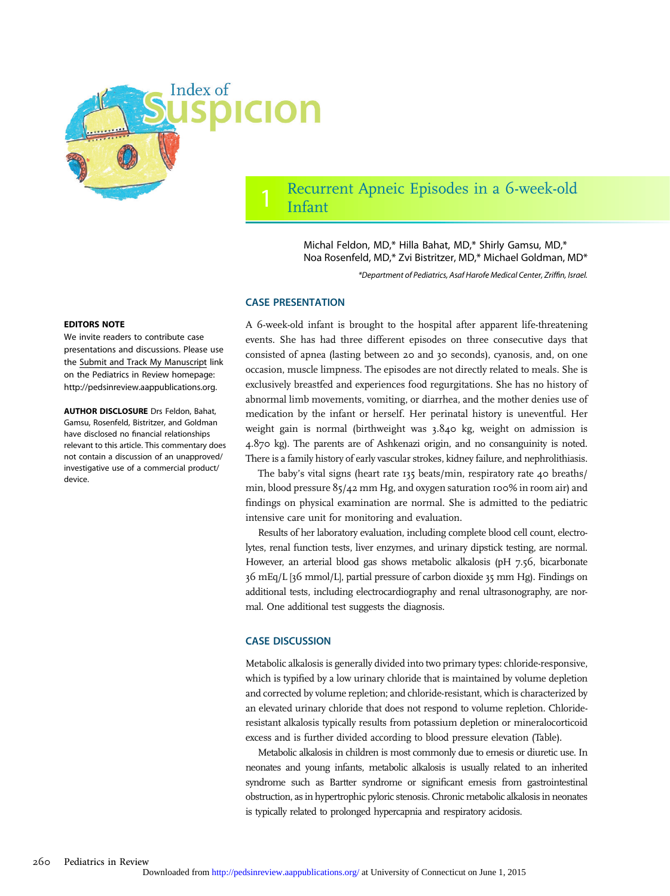

# Recurrent Apneic Episodes in a 6-week-old Infant

Michal Feldon, MD,\* Hilla Bahat, MD,\* Shirly Gamsu, MD,\* Noa Rosenfeld, MD,\* Zvi Bistritzer, MD,\* Michael Goldman, MD\*

\*Department of Pediatrics, Asaf Harofe Medical Center, Zriffin, Israel.

## CASE PRESENTATION

A 6-week-old infant is brought to the hospital after apparent life-threatening events. She has had three different episodes on three consecutive days that consisted of apnea (lasting between 20 and 30 seconds), cyanosis, and, on one occasion, muscle limpness. The episodes are not directly related to meals. She is exclusively breastfed and experiences food regurgitations. She has no history of abnormal limb movements, vomiting, or diarrhea, and the mother denies use of medication by the infant or herself. Her perinatal history is uneventful. Her weight gain is normal (birthweight was 3.840 kg, weight on admission is 4.870 kg). The parents are of Ashkenazi origin, and no consanguinity is noted. There is a family history of early vascular strokes, kidney failure, and nephrolithiasis.

The baby's vital signs (heart rate 135 beats/min, respiratory rate 40 breaths/ min, blood pressure 85/42 mm Hg, and oxygen saturation 100% in room air) and findings on physical examination are normal. She is admitted to the pediatric intensive care unit for monitoring and evaluation.

Results of her laboratory evaluation, including complete blood cell count, electrolytes, renal function tests, liver enzymes, and urinary dipstick testing, are normal. However, an arterial blood gas shows metabolic alkalosis (pH 7.56, bicarbonate 36 mEq/L [36 mmol/L], partial pressure of carbon dioxide 35 mm Hg). Findings on additional tests, including electrocardiography and renal ultrasonography, are normal. One additional test suggests the diagnosis.

### CASE DISCUSSION

Metabolic alkalosis is generally divided into two primary types: chloride-responsive, which is typified by a low urinary chloride that is maintained by volume depletion and corrected by volume repletion; and chloride-resistant, which is characterized by an elevated urinary chloride that does not respond to volume repletion. Chlorideresistant alkalosis typically results from potassium depletion or mineralocorticoid excess and is further divided according to blood pressure elevation (Table).

Metabolic alkalosis in children is most commonly due to emesis or diuretic use. In neonates and young infants, metabolic alkalosis is usually related to an inherited syndrome such as Bartter syndrome or significant emesis from gastrointestinal obstruction, as in hypertrophic pyloric stenosis. Chronic metabolic alkalosis in neonates is typically related to prolonged hypercapnia and respiratory acidosis.

### EDITORS NOTE

We invite readers to contribute case presentations and discussions. Please use the [Submit and Track My Manuscript](http://mc.manuscriptcentral.com/pir) link on the Pediatrics in Review homepage: [http://pedsinreview.aappublications.org.](http://pedsinreview.aappublications.org)

AUTHOR DISCLOSURE Drs Feldon, Bahat, Gamsu, Rosenfeld, Bistritzer, and Goldman have disclosed no financial relationships relevant to this article. This commentary does not contain a discussion of an unapproved/ investigative use of a commercial product/ device.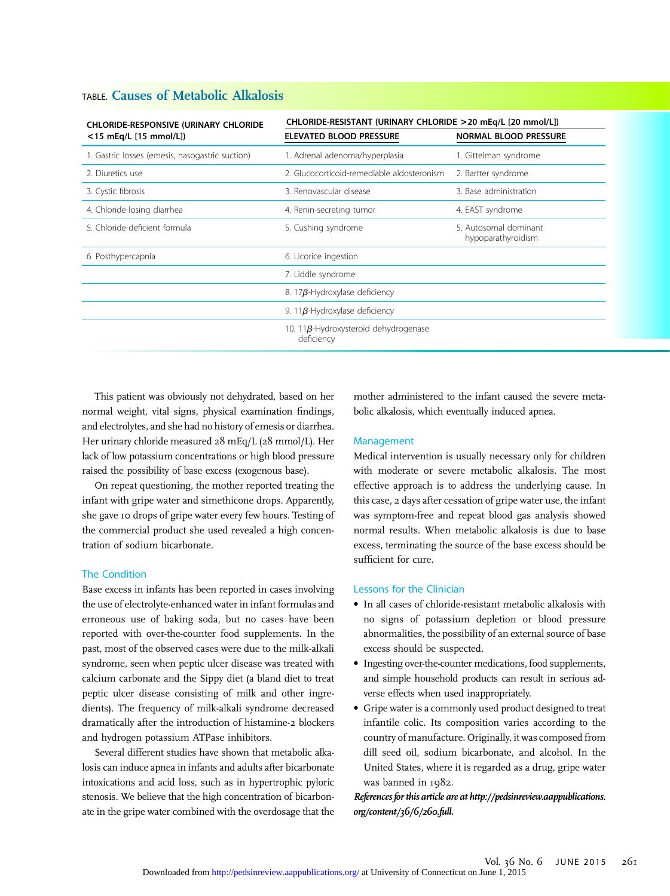# TABLE. Causes of Metabolic Alkalosis

| <b>CHLORIDE-RESPONSIVE (URINARY CHLORIDE</b><br><15 mEq/L [15 mmol/L]) | CHLORIDE-RESISTANT (URINARY CHLORIDE > 20 mEg/L [20 mmol/L]) |                                             |
|------------------------------------------------------------------------|--------------------------------------------------------------|---------------------------------------------|
|                                                                        | <b>ELEVATED BLOOD PRESSURE</b>                               | <b>NORMAL BLOOD PRESSURE</b>                |
| 1. Gastric losses (emesis, nasogastric suction)                        | 1. Adrenal adenoma/hyperplasia                               | 1. Gittelman syndrome                       |
| 2. Diuretics use                                                       | 2. Glucocorticoid-remediable aldosteronism                   | 2. Bartter syndrome                         |
| 3. Cystic fibrosis                                                     | 3. Renovascular disease                                      | 3. Base administration                      |
| 4. Chloride-losing diarrhea                                            | 4. Renin-secreting tumor                                     | 4. EAST syndrome                            |
| 5. Chloride-deficient formula                                          | 5. Cushing syndrome                                          | 5. Autosomal dominant<br>hypoparathyroidism |
| 6. Posthypercapnia                                                     | 6. Licorice ingestion                                        |                                             |
|                                                                        | 7. Liddle syndrome                                           |                                             |
|                                                                        | 8. 17 $\beta$ -Hydroxylase deficiency                        |                                             |
|                                                                        | 9. 11 $\beta$ -Hydroxylase deficiency                        |                                             |
|                                                                        | 10. 11 $\beta$ -Hydroxysteroid dehydrogenase<br>deficiency   |                                             |

This patient was obviously not dehydrated, based on her normal weight, vital signs, physical examination findings, and electrolytes, and she had no history of emesis or diarrhea. Her urinary chloride measured 28 mEq/L (28 mmol/L). Her lack of low potassium concentrations or high blood pressure raised the possibility of base excess (exogenous base).

On repeat questioning, the mother reported treating the infant with gripe water and simethicone drops. Apparently, she gave 10 drops of gripe water every few hours. Testing of the commercial product she used revealed a high concentration of sodium bicarbonate.

# The Condition

Base excess in infants has been reported in cases involving the use of electrolyte-enhanced water in infant formulas and erroneous use of baking soda, but no cases have been reported with over-the-counter food supplements. In the past, most of the observed cases were due to the milk-alkali syndrome, seen when peptic ulcer disease was treated with calcium carbonate and the Sippy diet (a bland diet to treat peptic ulcer disease consisting of milk and other ingredients). The frequency of milk-alkali syndrome decreased dramatically after the introduction of histamine-2 blockers and hydrogen potassium ATPase inhibitors.

Several different studies have shown that metabolic alkalosis can induce apnea in infants and adults after bicarbonate intoxications and acid loss, such as in hypertrophic pyloric stenosis. We believe that the high concentration of bicarbonate in the gripe water combined with the overdosage that the

mother administered to the infant caused the severe metabolic alkalosis, which eventually induced apnea.

#### Management

Medical intervention is usually necessary only for children with moderate or severe metabolic alkalosis. The most effective approach is to address the underlying cause. In this case, 2 days after cessation of gripe water use, the infant was symptom-free and repeat blood gas analysis showed normal results. When metabolic alkalosis is due to base excess, terminating the source of the base excess should be sufficient for cure.

## Lessons for the Clinician

- In all cases of chloride-resistant metabolic alkalosis with no signs of potassium depletion or blood pressure abnormalities, the possibility of an external source of base excess should be suspected.
- Ingesting over-the-counter medications, food supplements, and simple household products can result in serious adverse effects when used inappropriately.
- Gripe water is a commonly used product designed to treat infantile colic. Its composition varies according to the country of manufacture. Originally, it was composed from dill seed oil, sodium bicarbonate, and alcohol. In the United States, where it is regarded as a drug, gripe water was banned in 1982.

References for this article are at [http://pedsinreview.aappublications.](http://pedsinreview.aappublications.org/content/36/6/260.full) [org/content/36/6/260.full](http://pedsinreview.aappublications.org/content/36/6/260.full).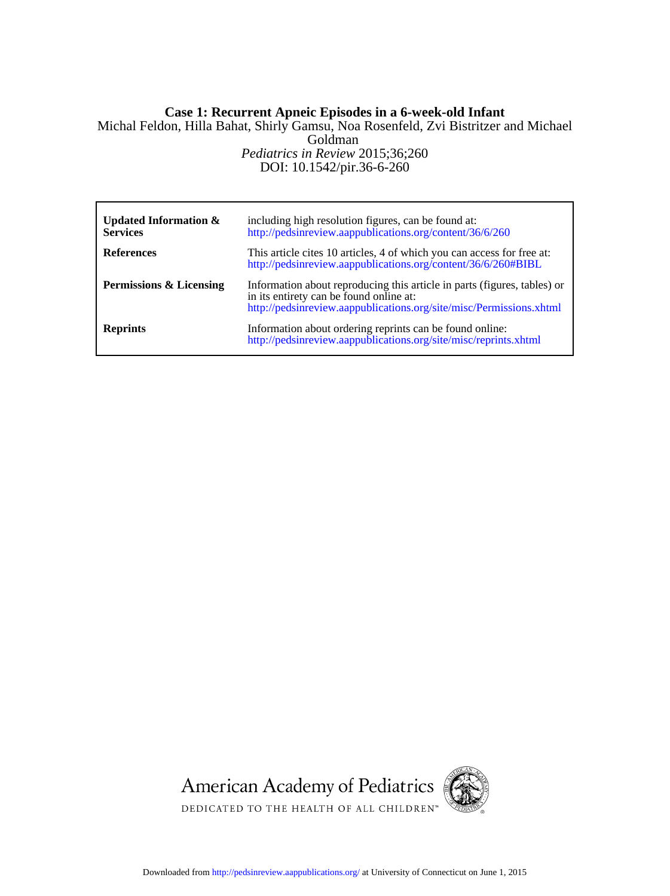# **Case 1: Recurrent Apneic Episodes in a 6-week-old Infant**

DOI: 10.1542/pir.36-6-260 *Pediatrics in Review* 2015;36;260 Goldman Michal Feldon, Hilla Bahat, Shirly Gamsu, Noa Rosenfeld, Zvi Bistritzer and Michael

| <b>Updated Information &amp;</b><br><b>Services</b> | including high resolution figures, can be found at:<br>http://pedsinreview.aappublications.org/content/36/6/260                                                                            |
|-----------------------------------------------------|--------------------------------------------------------------------------------------------------------------------------------------------------------------------------------------------|
| <b>References</b>                                   | This article cites 10 articles, 4 of which you can access for free at:<br>http://pedsinreview.aappublications.org/content/36/6/260#BIBL                                                    |
| <b>Permissions &amp; Licensing</b>                  | Information about reproducing this article in parts (figures, tables) or<br>in its entirety can be found online at:<br>http://pedsinreview.aappublications.org/site/misc/Permissions.xhtml |
| <b>Reprints</b>                                     | Information about ordering reprints can be found online:<br>http://pedsinreview.aappublications.org/site/misc/reprints.xhtml                                                               |